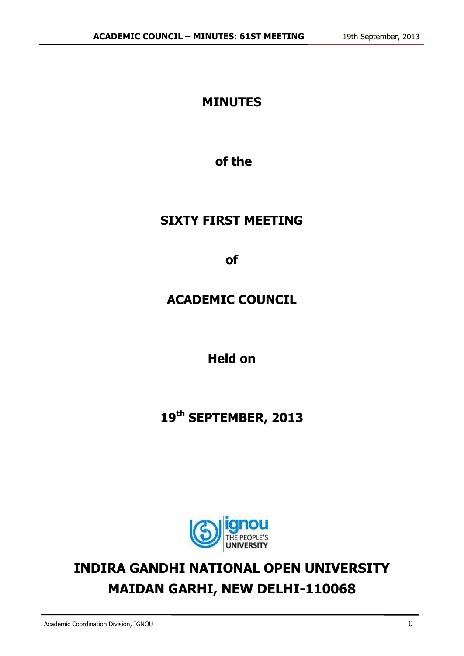## **MINUTES**

**of the**

## **SIXTY FIRST MEETING**

**of**

**ACADEMIC COUNCIL**

**Held on**

## **19 th SEPTEMBER, 2013**



# **INDIRA GANDHI NATIONAL OPEN UNIVERSITY MAIDAN GARHI, NEW DELHI-110068**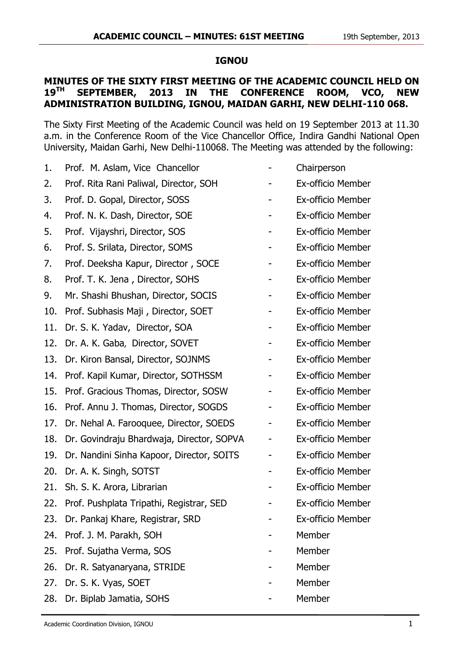#### **IGNOU**

#### **MINUTES OF THE SIXTY FIRST MEETING OF THE ACADEMIC COUNCIL HELD ON 19<sup>TH</sup> SEPTEMBER. 2013 IN THE CONFERENCE ROOM. VCO. NEW 19TH SEPTEMBER, 2013 IN THE CONFERENCE ROOM, VCO, NEW ADMINISTRATION BUILDING, IGNOU, MAIDAN GARHI, NEW DELHI-110 068.**

The Sixty First Meeting of the Academic Council was held on 19 September 2013 at 11.30 a.m. in the Conference Room of the Vice Chancellor Office, Indira Gandhi National Open University, Maidan Garhi, New Delhi-110068. The Meeting was attended by the following:

| 1.  | Prof. M. Aslam, Vice Chancellor              | Chairperson              |
|-----|----------------------------------------------|--------------------------|
| 2.  | Prof. Rita Rani Paliwal, Director, SOH       | Ex-officio Member        |
| 3.  | Prof. D. Gopal, Director, SOSS               | Ex-officio Member        |
| 4.  | Prof. N. K. Dash, Director, SOE              | Ex-officio Member        |
| 5.  | Prof. Vijayshri, Director, SOS               | Ex-officio Member        |
| 6.  | Prof. S. Srilata, Director, SOMS             | Ex-officio Member        |
| 7.  | Prof. Deeksha Kapur, Director, SOCE          | Ex-officio Member        |
| 8.  | Prof. T. K. Jena, Director, SOHS             | Ex-officio Member        |
| 9.  | Mr. Shashi Bhushan, Director, SOCIS          | Ex-officio Member        |
| 10. | Prof. Subhasis Maji, Director, SOET          | Ex-officio Member        |
| 11. | Dr. S. K. Yadav, Director, SOA               | Ex-officio Member        |
| 12. | Dr. A. K. Gaba, Director, SOVET              | Ex-officio Member        |
| 13. | Dr. Kiron Bansal, Director, SOJNMS           | <b>Ex-officio Member</b> |
| 14. | Prof. Kapil Kumar, Director, SOTHSSM         | Ex-officio Member        |
| 15. | Prof. Gracious Thomas, Director, SOSW        | Ex-officio Member        |
| 16. | Prof. Annu J. Thomas, Director, SOGDS        | Ex-officio Member        |
| 17. | Dr. Nehal A. Farooquee, Director, SOEDS      | Ex-officio Member        |
| 18. | Dr. Govindraju Bhardwaja, Director, SOPVA    | Ex-officio Member        |
| 19. | Dr. Nandini Sinha Kapoor, Director, SOITS    | Ex-officio Member        |
| 20. | Dr. A. K. Singh, SOTST                       | Ex-officio Member        |
| 21. | Sh. S. K. Arora, Librarian                   | Ex-officio Member        |
|     | 22. Prof. Pushplata Tripathi, Registrar, SED | Ex-officio Member        |
| 23. | Dr. Pankaj Khare, Registrar, SRD             | Ex-officio Member        |
| 24. | Prof. J. M. Parakh, SOH                      | Member                   |
| 25. | Prof. Sujatha Verma, SOS                     | Member                   |
| 26. | Dr. R. Satyanaryana, STRIDE                  | Member                   |
| 27. | Dr. S. K. Vyas, SOET                         | Member                   |
| 28. | Dr. Biplab Jamatia, SOHS                     | Member                   |
|     |                                              |                          |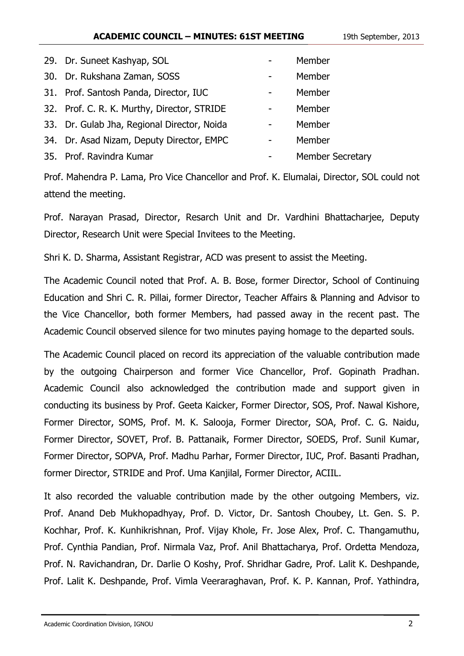#### **ACADEMIC COUNCIL – MINUTES: 61ST MEETING** 19th September, 2013

| 29. Dr. Suneet Kashyap, SOL                 | Member                  |
|---------------------------------------------|-------------------------|
| 30. Dr. Rukshana Zaman, SOSS                | Member                  |
| 31. Prof. Santosh Panda, Director, IUC      | Member                  |
| 32. Prof. C. R. K. Murthy, Director, STRIDE | Member                  |
| 33. Dr. Gulab Jha, Regional Director, Noida | Member                  |
| 34. Dr. Asad Nizam, Deputy Director, EMPC   | Member                  |
| 35. Prof. Ravindra Kumar                    | <b>Member Secretary</b> |

Prof. Mahendra P. Lama, Pro Vice Chancellor and Prof. K. Elumalai, Director, SOL could not attend the meeting.

Prof. Narayan Prasad, Director, Resarch Unit and Dr. Vardhini Bhattacharjee, Deputy Director, Research Unit were Special Invitees to the Meeting.

Shri K. D. Sharma, Assistant Registrar, ACD was present to assist the Meeting.

The Academic Council noted that Prof. A. B. Bose, former Director, School of Continuing Education and Shri C. R. Pillai, former Director, Teacher Affairs & Planning and Advisor to the Vice Chancellor, both former Members, had passed away in the recent past. The Academic Council observed silence for two minutes paying homage to the departed souls.

The Academic Council placed on record its appreciation of the valuable contribution made by the outgoing Chairperson and former Vice Chancellor, Prof. Gopinath Pradhan. Academic Council also acknowledged the contribution made and support given in conducting its business by Prof. Geeta Kaicker, Former Director, SOS, Prof. Nawal Kishore, Former Director, SOMS, Prof. M. K. Salooja, Former Director, SOA, Prof. C. G. Naidu, Former Director, SOVET, Prof. B. Pattanaik, Former Director, SOEDS, Prof. Sunil Kumar, Former Director, SOPVA, Prof. Madhu Parhar, Former Director, IUC, Prof. Basanti Pradhan, former Director, STRIDE and Prof. Uma Kanjilal, Former Director, ACIIL.

It also recorded the valuable contribution made by the other outgoing Members, viz. Prof. Anand Deb Mukhopadhyay, Prof. D. Victor, Dr. Santosh Choubey, Lt. Gen. S. P. Kochhar, Prof. K. Kunhikrishnan, Prof. Vijay Khole, Fr. Jose Alex, Prof. C. Thangamuthu, Prof. Cynthia Pandian, Prof. Nirmala Vaz, Prof. Anil Bhattacharya, Prof. Ordetta Mendoza, Prof. N. Ravichandran, Dr. Darlie O Koshy, Prof. Shridhar Gadre, Prof. Lalit K. Deshpande, Prof. Lalit K. Deshpande, Prof. Vimla Veeraraghavan, Prof. K. P. Kannan, Prof. Yathindra,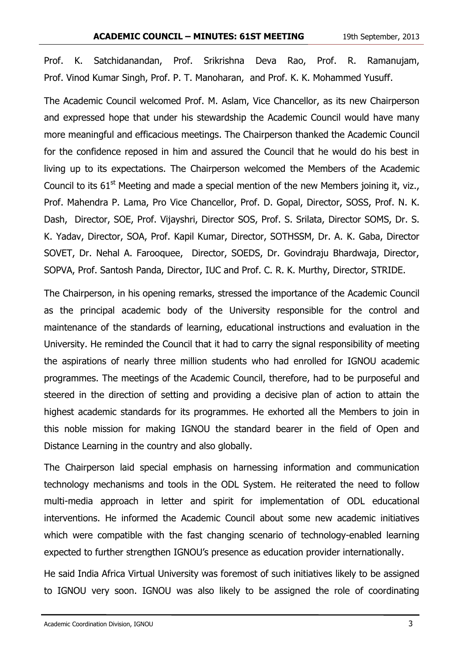Prof. K. Satchidanandan, Prof. Srikrishna Deva Rao, Prof. R. Ramanujam, Prof. Vinod Kumar Singh, Prof. P. T. Manoharan, and Prof. K. K. Mohammed Yusuff.

The Academic Council welcomed Prof. M. Aslam, Vice Chancellor, as its new Chairperson and expressed hope that under his stewardship the Academic Council would have many more meaningful and efficacious meetings. The Chairperson thanked the Academic Council for the confidence reposed in him and assured the Council that he would do his best in living up to its expectations. The Chairperson welcomed the Members of the Academic Council to its  $61<sup>st</sup>$  Meeting and made a special mention of the new Members joining it, viz., Prof. Mahendra P. Lama, Pro Vice Chancellor, Prof. D. Gopal, Director, SOSS, Prof. N. K. Dash, Director, SOE, Prof. Vijayshri, Director SOS, Prof. S. Srilata, Director SOMS, Dr. S. K. Yadav, Director, SOA, Prof. Kapil Kumar, Director, SOTHSSM, Dr. A. K. Gaba, Director SOVET, Dr. Nehal A. Farooquee, Director, SOEDS, Dr. Govindraju Bhardwaja, Director, SOPVA, Prof. Santosh Panda, Director, IUC and Prof. C. R. K. Murthy, Director, STRIDE.

The Chairperson, in his opening remarks, stressed the importance of the Academic Council as the principal academic body of the University responsible for the control and maintenance of the standards of learning, educational instructions and evaluation in the University. He reminded the Council that it had to carry the signal responsibility of meeting the aspirations of nearly three million students who had enrolled for IGNOU academic programmes. The meetings of the Academic Council, therefore, had to be purposeful and steered in the direction of setting and providing a decisive plan of action to attain the highest academic standards for its programmes. He exhorted all the Members to join in this noble mission for making IGNOU the standard bearer in the field of Open and Distance Learning in the country and also globally.

The Chairperson laid special emphasis on harnessing information and communication technology mechanisms and tools in the ODL System. He reiterated the need to follow multi-media approach in letter and spirit for implementation of ODL educational interventions. He informed the Academic Council about some new academic initiatives which were compatible with the fast changing scenario of technology-enabled learning expected to further strengthen IGNOU's presence as education provider internationally.

He said India Africa Virtual University was foremost of such initiatives likely to be assigned to IGNOU very soon. IGNOU was also likely to be assigned the role of coordinating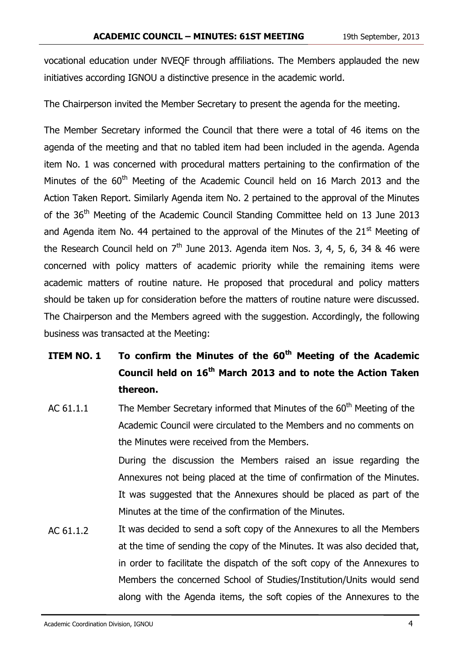vocational education under NVEQF through affiliations. The Members applauded the new initiatives according IGNOU a distinctive presence in the academic world.

The Chairperson invited the Member Secretary to present the agenda for the meeting.

The Member Secretary informed the Council that there were a total of 46 items on the agenda of the meeting and that no tabled item had been included in the agenda. Agenda item No. 1 was concerned with procedural matters pertaining to the confirmation of the Minutes of the 60<sup>th</sup> Meeting of the Academic Council held on 16 March 2013 and the Action Taken Report. Similarly Agenda item No. 2 pertained to the approval of the Minutes of the 36<sup>th</sup> Meeting of the Academic Council Standing Committee held on 13 June 2013 and Agenda item No. 44 pertained to the approval of the Minutes of the  $21<sup>st</sup>$  Meeting of the Research Council held on  $7<sup>th</sup>$  June 2013. Agenda item Nos. 3, 4, 5, 6, 34 & 46 were concerned with policy matters of academic priority while the remaining items were academic matters of routine nature. He proposed that procedural and policy matters should be taken up for consideration before the matters of routine nature were discussed. The Chairperson and the Members agreed with the suggestion. Accordingly, the following business was transacted at the Meeting:

## **ITEM NO. 1 To confirm the Minutes of the 60th Meeting of the Academic Council held on 16th March 2013 and to note the Action Taken thereon.**

AC  $61.1.1$  The Member Secretary informed that Minutes of the  $60<sup>th</sup>$  Meeting of the Academic Council were circulated to the Members and no comments on the Minutes were received from the Members.

During the discussion the Members raised an issue regarding the Annexures not being placed at the time of confirmation of the Minutes. It was suggested that the Annexures should be placed as part of the Minutes at the time of the confirmation of the Minutes.

AC 61.1.2 It was decided to send a soft copy of the Annexures to all the Members at the time of sending the copy of the Minutes. It was also decided that, in order to facilitate the dispatch of the soft copy of the Annexures to Members the concerned School of Studies/Institution/Units would send along with the Agenda items, the soft copies of the Annexures to the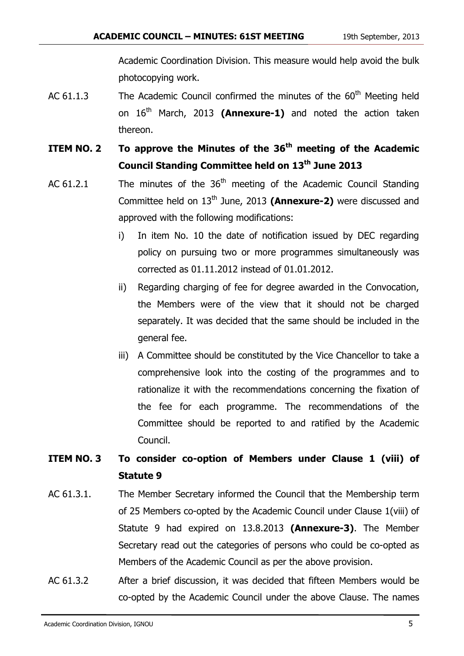Academic Coordination Division. This measure would help avoid the bulk photocopying work.

- AC  $61.1.3$  The Academic Council confirmed the minutes of the  $60<sup>th</sup>$  Meeting held on 16<sup>th</sup> March, 2013 (Annexure-1) and noted the action taken thereon.
- **ITEM NO. 2 To approve the Minutes of the 36th meeting of the Academic Council Standing Committee held on 13th June 2013**
- AC 61.2.1 The minutes of the  $36<sup>th</sup>$  meeting of the Academic Council Standing Committee held on 13<sup>th</sup> June, 2013 (Annexure-2) were discussed and approved with the following modifications:
	- i) In item No. 10 the date of notification issued by DEC regarding policy on pursuing two or more programmes simultaneously was corrected as 01.11.2012 instead of 01.01.2012.
	- ii) Regarding charging of fee for degree awarded in the Convocation, the Members were of the view that it should not be charged separately. It was decided that the same should be included in the general fee.
	- iii) A Committee should be constituted by the Vice Chancellor to take a comprehensive look into the costing of the programmes and to rationalize it with the recommendations concerning the fixation of the fee for each programme. The recommendations of the Committee should be reported to and ratified by the Academic Council.

### **ITEM NO. 3 To consider co-option of Members under Clause 1 (viii) of Statute 9**

- AC 61.3.1. The Member Secretary informed the Council that the Membership term of 25 Members co-opted by the Academic Council under Clause 1(viii) of Statute 9 had expired on 13.8.2013 **(Annexure-3)**. The Member Secretary read out the categories of persons who could be co-opted as Members of the Academic Council as per the above provision.
- AC 61.3.2 After a brief discussion, it was decided that fifteen Members would be co-opted by the Academic Council under the above Clause. The names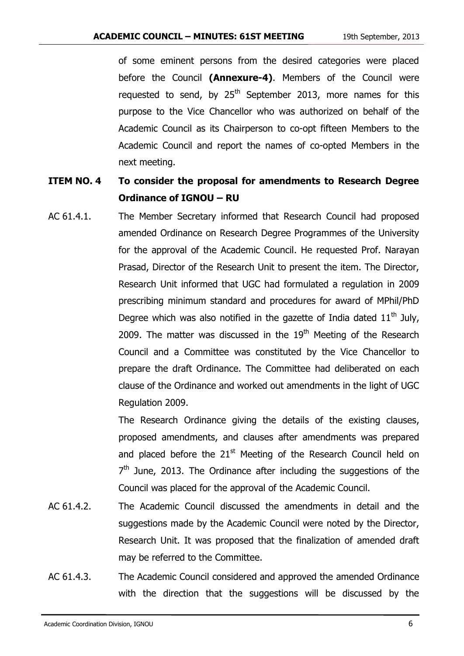of some eminent persons from the desired categories were placed before the Council **(Annexure-4)**. Members of the Council were requested to send, by  $25<sup>th</sup>$  September 2013, more names for this purpose to the Vice Chancellor who was authorized on behalf of the Academic Council as its Chairperson to co-opt fifteen Members to the Academic Council and report the names of co-opted Members in the next meeting.

### **ITEM NO. 4 To consider the proposal for amendments to Research Degree Ordinance of IGNOU – RU**

AC 61.4.1. The Member Secretary informed that Research Council had proposed amended Ordinance on Research Degree Programmes of the University for the approval of the Academic Council. He requested Prof. Narayan Prasad, Director of the Research Unit to present the item. The Director, Research Unit informed that UGC had formulated a regulation in 2009 prescribing minimum standard and procedures for award of MPhil/PhD Degree which was also notified in the gazette of India dated  $11<sup>th</sup>$  July, 2009. The matter was discussed in the  $19<sup>th</sup>$  Meeting of the Research Council and a Committee was constituted by the Vice Chancellor to prepare the draft Ordinance. The Committee had deliberated on each clause of the Ordinance and worked out amendments in the light of UGC Regulation 2009.

> The Research Ordinance giving the details of the existing clauses, proposed amendments, and clauses after amendments was prepared and placed before the  $21<sup>st</sup>$  Meeting of the Research Council held on  $7<sup>th</sup>$  June, 2013. The Ordinance after including the suggestions of the Council was placed for the approval of the Academic Council.

- AC 61.4.2. The Academic Council discussed the amendments in detail and the suggestions made by the Academic Council were noted by the Director, Research Unit. It was proposed that the finalization of amended draft may be referred to the Committee.
- AC 61.4.3. The Academic Council considered and approved the amended Ordinance with the direction that the suggestions will be discussed by the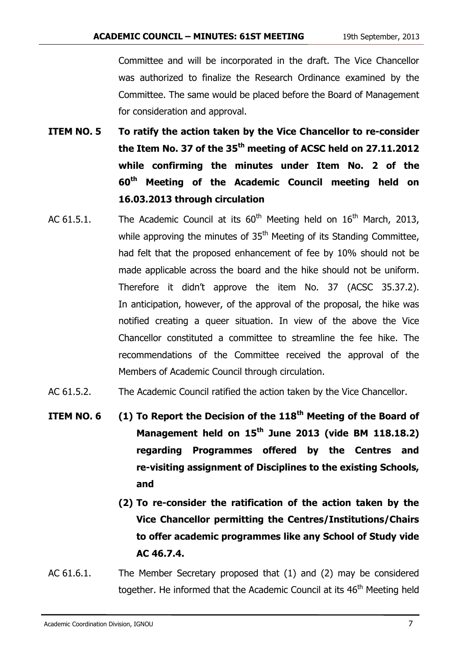Committee and will be incorporated in the draft. The Vice Chancellor was authorized to finalize the Research Ordinance examined by the Committee. The same would be placed before the Board of Management for consideration and approval.

- **ITEM NO. 5 To ratify the action taken by the Vice Chancellor to re-consider the Item No. 37 of the 35th meeting of ACSC held on 27.11.2012 while confirming the minutes under Item No. 2 of the 60th Meeting of the Academic Council meeting held on 16.03.2013 through circulation**
- AC 61.5.1. The Academic Council at its  $60<sup>th</sup>$  Meeting held on  $16<sup>th</sup>$  March, 2013, while approving the minutes of 35<sup>th</sup> Meeting of its Standing Committee, had felt that the proposed enhancement of fee by 10% should not be made applicable across the board and the hike should not be uniform. Therefore it didn't approve the item No. 37 (ACSC 35.37.2). In anticipation, however, of the approval of the proposal, the hike was notified creating a queer situation. In view of the above the Vice Chancellor constituted a committee to streamline the fee hike. The recommendations of the Committee received the approval of the Members of Academic Council through circulation.
- AC 61.5.2. The Academic Council ratified the action taken by the Vice Chancellor.
- **ITEM NO. 6 (1) To Report the Decision of the 118th Meeting of the Board of Management held on 15th June 2013 (vide BM 118.18.2) regarding Programmes offered by the Centres and re-visiting assignment of Disciplines to the existing Schools, and** 
	- **(2) To re-consider the ratification of the action taken by the Vice Chancellor permitting the Centres/Institutions/Chairs to offer academic programmes like any School of Study vide AC 46.7.4.**
- AC 61.6.1. The Member Secretary proposed that (1) and (2) may be considered together. He informed that the Academic Council at its 46<sup>th</sup> Meeting held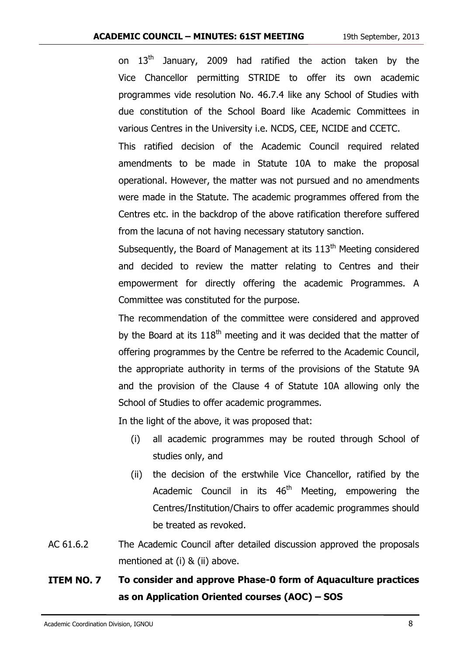on  $13<sup>th</sup>$  January, 2009 had ratified the action taken by the Vice Chancellor permitting STRIDE to offer its own academic programmes vide resolution No. 46.7.4 like any School of Studies with due constitution of the School Board like Academic Committees in various Centres in the University i.e. NCDS, CEE, NCIDE and CCETC.

This ratified decision of the Academic Council required related amendments to be made in Statute 10A to make the proposal operational. However, the matter was not pursued and no amendments were made in the Statute. The academic programmes offered from the Centres etc. in the backdrop of the above ratification therefore suffered from the lacuna of not having necessary statutory sanction.

Subsequently, the Board of Management at its  $113<sup>th</sup>$  Meeting considered and decided to review the matter relating to Centres and their empowerment for directly offering the academic Programmes. A Committee was constituted for the purpose.

The recommendation of the committee were considered and approved by the Board at its  $118<sup>th</sup>$  meeting and it was decided that the matter of offering programmes by the Centre be referred to the Academic Council, the appropriate authority in terms of the provisions of the Statute 9A and the provision of the Clause 4 of Statute 10A allowing only the School of Studies to offer academic programmes.

In the light of the above, it was proposed that:

- (i) all academic programmes may be routed through School of studies only, and
- (ii) the decision of the erstwhile Vice Chancellor, ratified by the Academic Council in its  $46<sup>th</sup>$  Meeting, empowering the Centres/Institution/Chairs to offer academic programmes should be treated as revoked.
- AC 61.6.2 The Academic Council after detailed discussion approved the proposals mentioned at (i) & (ii) above.

### **ITEM NO. 7 To consider and approve Phase-0 form of Aquaculture practices as on Application Oriented courses (AOC) – SOS**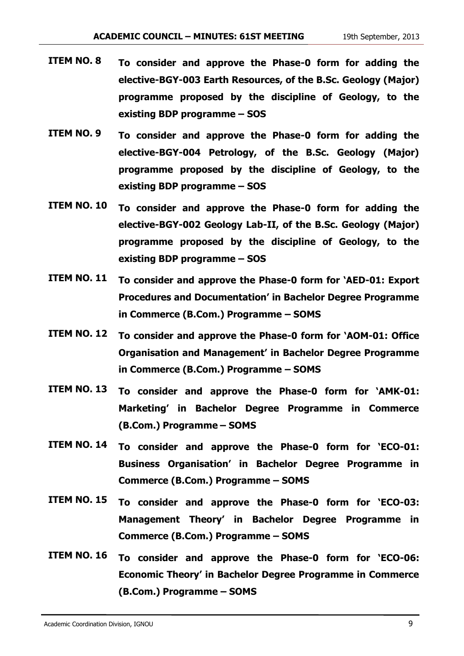- **ITEM NO. 8 To consider and approve the Phase-0 form for adding the elective-BGY-003 Earth Resources, of the B.Sc. Geology (Major) programme proposed by the discipline of Geology, to the existing BDP programme – SOS**
- **ITEM NO. 9 To consider and approve the Phase-0 form for adding the elective-BGY-004 Petrology, of the B.Sc. Geology (Major) programme proposed by the discipline of Geology, to the existing BDP programme – SOS**
- **ITEM NO. 10 To consider and approve the Phase-0 form for adding the elective-BGY-002 Geology Lab-II, of the B.Sc. Geology (Major) programme proposed by the discipline of Geology, to the existing BDP programme – SOS**
- **ITEM NO. 11 To consider and approve the Phase-0 form for 'AED-01: Export Procedures and Documentation' in Bachelor Degree Programme in Commerce (B.Com.) Programme – SOMS**
- **ITEM NO. 12 To consider and approve the Phase-0 form for 'AOM-01: Office Organisation and Management' in Bachelor Degree Programme in Commerce (B.Com.) Programme – SOMS**
- **ITEM NO. 13 To consider and approve the Phase-0 form for 'AMK-01: Marketing' in Bachelor Degree Programme in Commerce (B.Com.) Programme – SOMS**
- **ITEM NO. 14 To consider and approve the Phase-0 form for 'ECO-01: Business Organisation' in Bachelor Degree Programme in Commerce (B.Com.) Programme – SOMS**
- **ITEM NO. 15 To consider and approve the Phase-0 form for 'ECO-03: Management Theory' in Bachelor Degree Programme in Commerce (B.Com.) Programme – SOMS**
- **ITEM NO. 16 To consider and approve the Phase-0 form for 'ECO-06: Economic Theory' in Bachelor Degree Programme in Commerce (B.Com.) Programme – SOMS**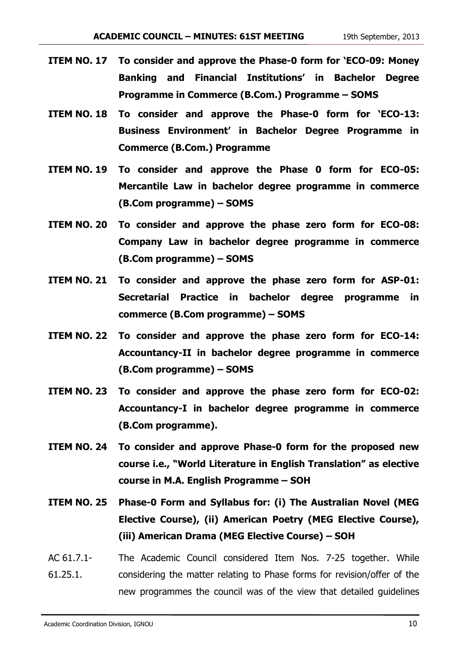- **ITEM NO. 17 To consider and approve the Phase-0 form for 'ECO-09: Money Banking and Financial Institutions' in Bachelor Degree Programme in Commerce (B.Com.) Programme – SOMS**
- **ITEM NO. 18 To consider and approve the Phase-0 form for 'ECO-13: Business Environment' in Bachelor Degree Programme in Commerce (B.Com.) Programme**
- **ITEM NO. 19 To consider and approve the Phase 0 form for ECO-05: Mercantile Law in bachelor degree programme in commerce (B.Com programme) – SOMS**
- **ITEM NO. 20 To consider and approve the phase zero form for ECO-08: Company Law in bachelor degree programme in commerce (B.Com programme) – SOMS**
- **ITEM NO. 21 To consider and approve the phase zero form for ASP-01: Secretarial Practice in bachelor degree programme in commerce (B.Com programme) – SOMS**
- **ITEM NO. 22 To consider and approve the phase zero form for ECO-14: Accountancy-II in bachelor degree programme in commerce (B.Com programme) – SOMS**
- **ITEM NO. 23 To consider and approve the phase zero form for ECO-02: Accountancy-I in bachelor degree programme in commerce (B.Com programme).**
- **ITEM NO. 24 To consider and approve Phase-0 form for the proposed new course i.e., "World Literature in English Translation" as elective course in M.A. English Programme – SOH**
- **ITEM NO. 25 Phase-0 Form and Syllabus for: (i) The Australian Novel (MEG Elective Course), (ii) American Poetry (MEG Elective Course), (iii) American Drama (MEG Elective Course) – SOH**
- AC 61.7.1- 61.25.1. The Academic Council considered Item Nos. 7-25 together. While considering the matter relating to Phase forms for revision/offer of the new programmes the council was of the view that detailed guidelines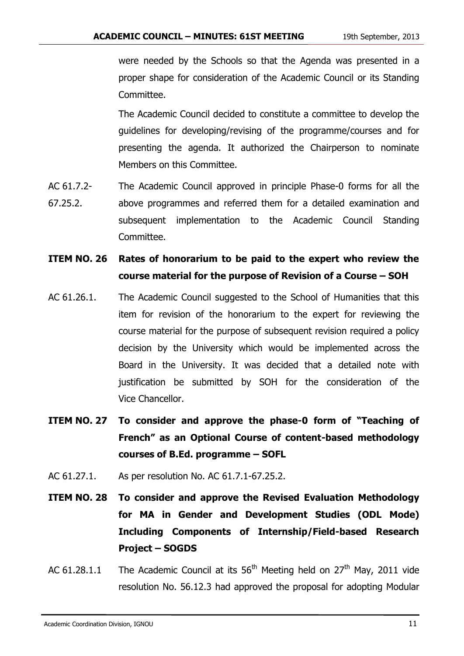were needed by the Schools so that the Agenda was presented in a proper shape for consideration of the Academic Council or its Standing Committee.

The Academic Council decided to constitute a committee to develop the guidelines for developing/revising of the programme/courses and for presenting the agenda. It authorized the Chairperson to nominate Members on this Committee.

- AC 61.7.2- 67.25.2. The Academic Council approved in principle Phase-0 forms for all the above programmes and referred them for a detailed examination and subsequent implementation to the Academic Council Standing Committee.
- **ITEM NO. 26 Rates of honorarium to be paid to the expert who review the course material for the purpose of Revision of a Course – SOH**
- AC 61.26.1. The Academic Council suggested to the School of Humanities that this item for revision of the honorarium to the expert for reviewing the course material for the purpose of subsequent revision required a policy decision by the University which would be implemented across the Board in the University. It was decided that a detailed note with justification be submitted by SOH for the consideration of the Vice Chancellor.
- **ITEM NO. 27 To consider and approve the phase-0 form of "Teaching of French" as an Optional Course of content-based methodology courses of B.Ed. programme – SOFL**
- AC 61.27.1. As per resolution No. AC 61.7.1-67.25.2.
- **ITEM NO. 28 To consider and approve the Revised Evaluation Methodology for MA in Gender and Development Studies (ODL Mode) Including Components of Internship/Field-based Research Project – SOGDS**
- AC 61.28.1.1 The Academic Council at its  $56<sup>th</sup>$  Meeting held on 27<sup>th</sup> May, 2011 vide resolution No. 56.12.3 had approved the proposal for adopting Modular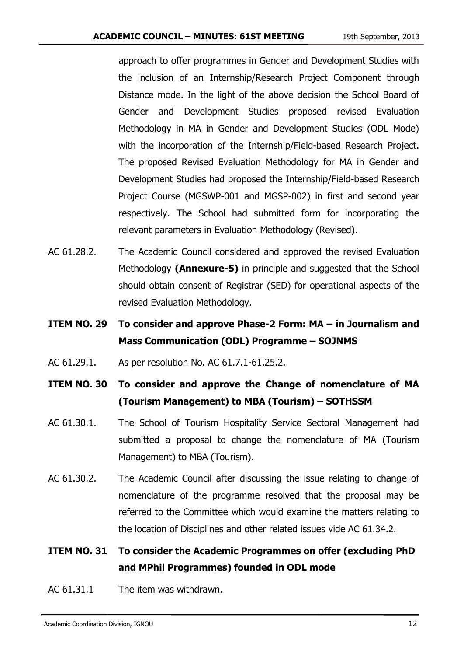approach to offer programmes in Gender and Development Studies with the inclusion of an Internship/Research Project Component through Distance mode. In the light of the above decision the School Board of Gender and Development Studies proposed revised Evaluation Methodology in MA in Gender and Development Studies (ODL Mode) with the incorporation of the Internship/Field-based Research Project. The proposed Revised Evaluation Methodology for MA in Gender and Development Studies had proposed the Internship/Field-based Research Project Course (MGSWP-001 and MGSP-002) in first and second year respectively. The School had submitted form for incorporating the relevant parameters in Evaluation Methodology (Revised).

- AC 61.28.2. The Academic Council considered and approved the revised Evaluation Methodology **(Annexure-5)** in principle and suggested that the School should obtain consent of Registrar (SED) for operational aspects of the revised Evaluation Methodology.
- **ITEM NO. 29 To consider and approve Phase-2 Form: MA – in Journalism and Mass Communication (ODL) Programme – SOJNMS**
- AC 61.29.1. As per resolution No. AC 61.7.1-61.25.2.
- **ITEM NO. 30 To consider and approve the Change of nomenclature of MA (Tourism Management) to MBA (Tourism) – SOTHSSM**
- AC 61.30.1. The School of Tourism Hospitality Service Sectoral Management had submitted a proposal to change the nomenclature of MA (Tourism Management) to MBA (Tourism).
- AC 61.30.2. The Academic Council after discussing the issue relating to change of nomenclature of the programme resolved that the proposal may be referred to the Committee which would examine the matters relating to the location of Disciplines and other related issues vide AC 61.34.2.

### **ITEM NO. 31 To consider the Academic Programmes on offer (excluding PhD and MPhil Programmes) founded in ODL mode**

AC 61.31.1 The item was withdrawn.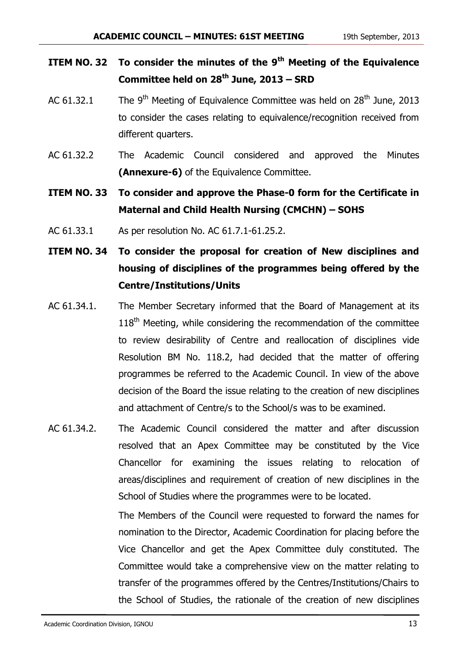- **ITEM NO. 32 To consider the minutes of the 9th Meeting of the Equivalence Committee held on 28th June, 2013 – SRD**
- AC 61.32.1 The 9<sup>th</sup> Meeting of Equivalence Committee was held on 28<sup>th</sup> June, 2013 to consider the cases relating to equivalence/recognition received from different quarters.
- AC 61.32.2 The Academic Council considered and approved the Minutes **(Annexure-6)** of the Equivalence Committee.
- **ITEM NO. 33 To consider and approve the Phase-0 form for the Certificate in Maternal and Child Health Nursing (CMCHN) – SOHS**
- AC 61.33.1 As per resolution No. AC 61.7.1-61.25.2.
- **ITEM NO. 34 To consider the proposal for creation of New disciplines and housing of disciplines of the programmes being offered by the Centre/Institutions/Units**
- AC 61.34.1. The Member Secretary informed that the Board of Management at its  $118<sup>th</sup>$  Meeting, while considering the recommendation of the committee to review desirability of Centre and reallocation of disciplines vide Resolution BM No. 118.2, had decided that the matter of offering programmes be referred to the Academic Council. In view of the above decision of the Board the issue relating to the creation of new disciplines and attachment of Centre/s to the School/s was to be examined.
- AC 61.34.2. The Academic Council considered the matter and after discussion resolved that an Apex Committee may be constituted by the Vice Chancellor for examining the issues relating to relocation of areas/disciplines and requirement of creation of new disciplines in the School of Studies where the programmes were to be located.

The Members of the Council were requested to forward the names for nomination to the Director, Academic Coordination for placing before the Vice Chancellor and get the Apex Committee duly constituted. The Committee would take a comprehensive view on the matter relating to transfer of the programmes offered by the Centres/Institutions/Chairs to the School of Studies, the rationale of the creation of new disciplines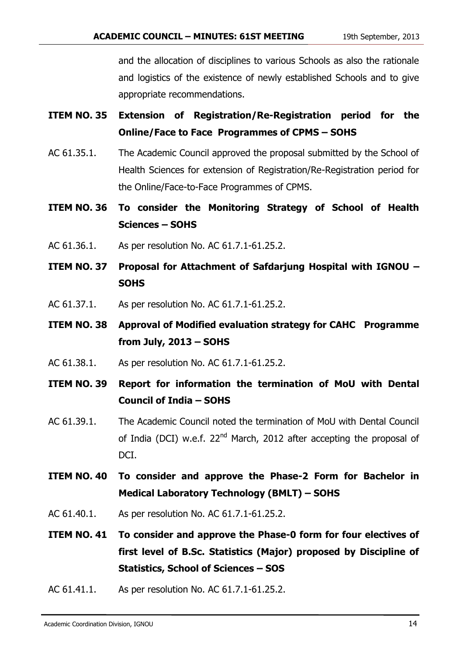and the allocation of disciplines to various Schools as also the rationale and logistics of the existence of newly established Schools and to give appropriate recommendations.

- **ITEM NO. 35 Extension of Registration/Re-Registration period for the Online/Face to Face Programmes of CPMS – SOHS**
- AC 61.35.1. The Academic Council approved the proposal submitted by the School of Health Sciences for extension of Registration/Re-Registration period for the Online/Face-to-Face Programmes of CPMS.
- **ITEM NO. 36 To consider the Monitoring Strategy of School of Health Sciences – SOHS**
- AC 61.36.1. As per resolution No. AC 61.7.1-61.25.2.
- **ITEM NO. 37 Proposal for Attachment of Safdarjung Hospital with IGNOU – SOHS**
- AC 61.37.1. As per resolution No. AC 61.7.1-61.25.2.
- **ITEM NO. 38 Approval of Modified evaluation strategy for CAHC Programme from July, 2013 – SOHS**
- AC 61.38.1. As per resolution No. AC 61.7.1-61.25.2.
- **ITEM NO. 39 Report for information the termination of MoU with Dental Council of India – SOHS**
- AC 61.39.1. The Academic Council noted the termination of MoU with Dental Council of India (DCI) w.e.f. 22<sup>nd</sup> March, 2012 after accepting the proposal of DCI.
- **ITEM NO. 40 To consider and approve the Phase-2 Form for Bachelor in Medical Laboratory Technology (BMLT) – SOHS**
- AC 61.40.1. As per resolution No. AC 61.7.1-61.25.2.
- **ITEM NO. 41 To consider and approve the Phase-0 form for four electives of first level of B.Sc. Statistics (Major) proposed by Discipline of Statistics, School of Sciences – SOS**
- AC 61.41.1. As per resolution No. AC 61.7.1-61.25.2.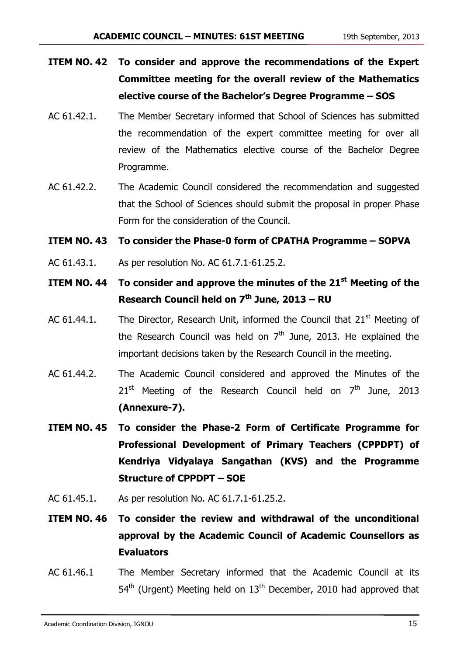- **ITEM NO. 42 To consider and approve the recommendations of the Expert Committee meeting for the overall review of the Mathematics elective course of the Bachelor's Degree Programme – SOS**
- AC 61.42.1. The Member Secretary informed that School of Sciences has submitted the recommendation of the expert committee meeting for over all review of the Mathematics elective course of the Bachelor Degree Programme.
- AC 61.42.2. The Academic Council considered the recommendation and suggested that the School of Sciences should submit the proposal in proper Phase Form for the consideration of the Council.
- **ITEM NO. 43 To consider the Phase-0 form of CPATHA Programme – SOPVA**
- AC 61.43.1. As per resolution No. AC 61.7.1-61.25.2.
- **ITEM NO. 44 To consider and approve the minutes of the 21st Meeting of the Research Council held on 7th June, 2013 – RU**
- AC 61.44.1. The Director, Research Unit, informed the Council that  $21<sup>st</sup>$  Meeting of the Research Council was held on  $7<sup>th</sup>$  June, 2013. He explained the important decisions taken by the Research Council in the meeting.
- AC 61.44.2. The Academic Council considered and approved the Minutes of the  $21^{st}$  Meeting of the Research Council held on  $7^{th}$  June, 2013 **(Annexure-7).**
- **ITEM NO. 45 To consider the Phase-2 Form of Certificate Programme for Professional Development of Primary Teachers (CPPDPT) of Kendriya Vidyalaya Sangathan (KVS) and the Programme Structure of CPPDPT – SOE**
- AC 61.45.1. As per resolution No. AC 61.7.1-61.25.2.
- **ITEM NO. 46 To consider the review and withdrawal of the unconditional approval by the Academic Council of Academic Counsellors as Evaluators**
- AC 61.46.1 The Member Secretary informed that the Academic Council at its  $54<sup>th</sup>$  (Urgent) Meeting held on  $13<sup>th</sup>$  December, 2010 had approved that